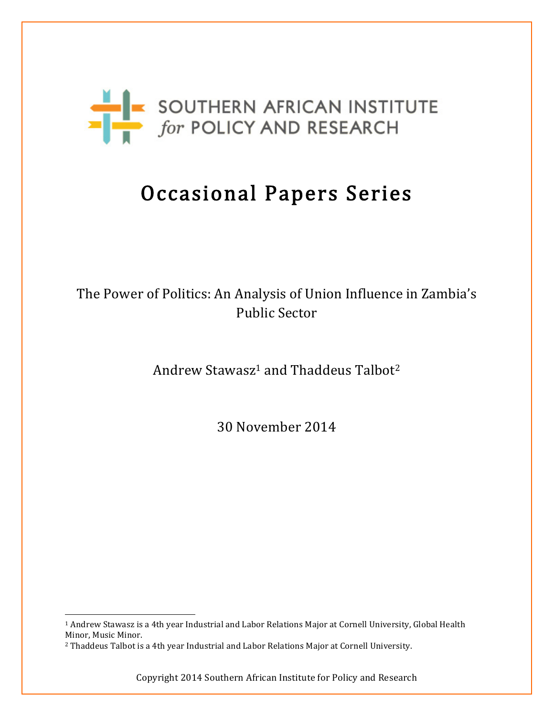

# Occasional Papers Series

# The Power of Politics: An Analysis of Union Influence in Zambia's Public Sector

Andrew Stawasz<sup>1</sup> and Thaddeus Talbot<sup>2</sup>

30 November 2014

 <sup>1</sup> Andrew Stawasz is a 4th year Industrial and Labor Relations Major at Cornell University, Global Health Minor, Music Minor.

<sup>2</sup> Thaddeus Talbot is a 4th year Industrial and Labor Relations Major at Cornell University.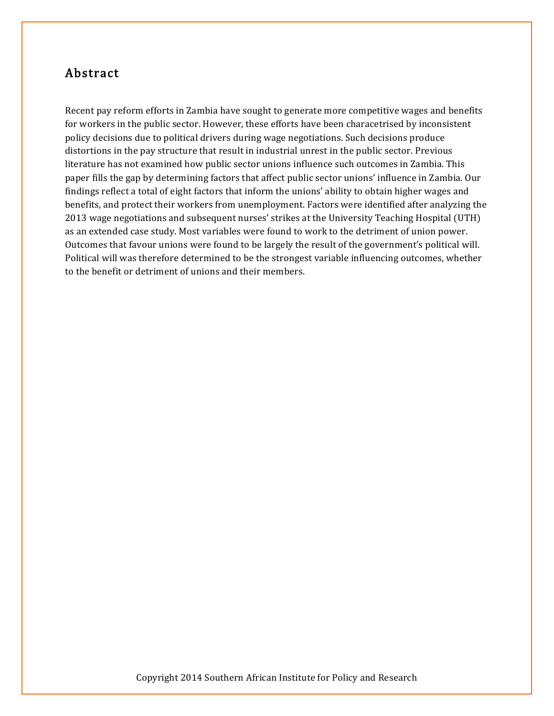#### Abstract

Recent pay reform efforts in Zambia have sought to generate more competitive wages and benefits for workers in the public sector. However, these efforts have been characetrised by inconsistent policy decisions due to political drivers during wage negotiations. Such decisions produce distortions in the pay structure that result in industrial unrest in the public sector. Previous literature has not examined how public sector unions influence such outcomes in Zambia. This paper fills the gap by determining factors that affect public sector unions' influence in Zambia. Our findings reflect a total of eight factors that inform the unions' ability to obtain higher wages and benefits, and protect their workers from unemployment. Factors were identified after analyzing the 2013 wage negotiations and subsequent nurses' strikes at the University Teaching Hospital (UTH) as an extended case study. Most variables were found to work to the detriment of union power. Outcomes that favour unions were found to be largely the result of the government's political will. Political will was therefore determined to be the strongest variable influencing outcomes, whether to the benefit or detriment of unions and their members.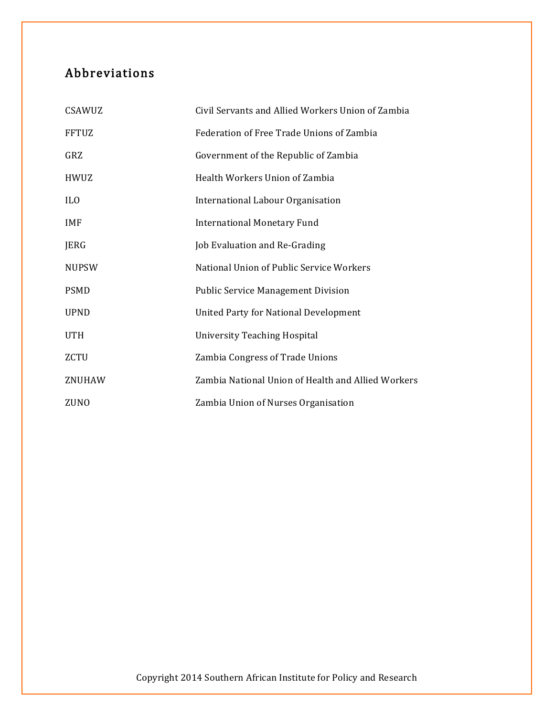# Abbreviations

| CSAWUZ          | Civil Servants and Allied Workers Union of Zambia  |
|-----------------|----------------------------------------------------|
| <b>FFTUZ</b>    | Federation of Free Trade Unions of Zambia          |
| GRZ             | Government of the Republic of Zambia               |
| <b>HWUZ</b>     | Health Workers Union of Zambia                     |
| IL <sub>0</sub> | International Labour Organisation                  |
| <b>IMF</b>      | <b>International Monetary Fund</b>                 |
| JERG            | Job Evaluation and Re-Grading                      |
| <b>NUPSW</b>    | National Union of Public Service Workers           |
| <b>PSMD</b>     | <b>Public Service Management Division</b>          |
| <b>UPND</b>     | <b>United Party for National Development</b>       |
| <b>UTH</b>      | <b>University Teaching Hospital</b>                |
| <b>ZCTU</b>     | Zambia Congress of Trade Unions                    |
| ZNUHAW          | Zambia National Union of Health and Allied Workers |
| <b>ZUNO</b>     | Zambia Union of Nurses Organisation                |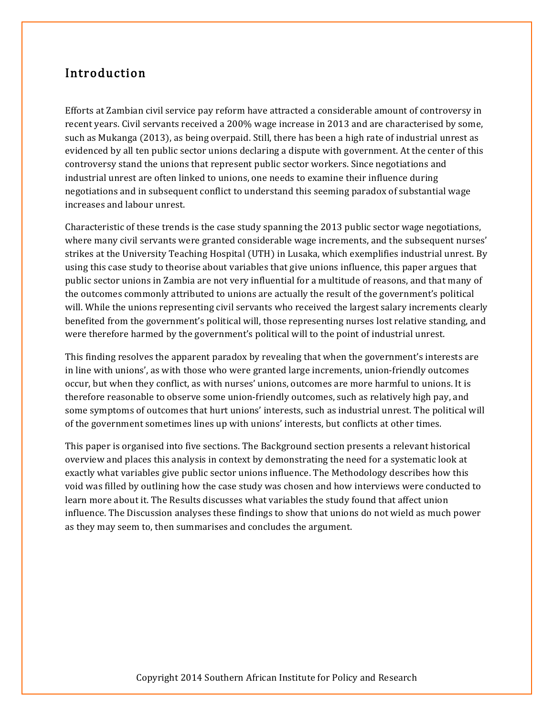#### Introduction

Efforts at Zambian civil service pay reform have attracted a considerable amount of controversy in recent years. Civil servants received a 200% wage increase in 2013 and are characterised by some, such as Mukanga (2013), as being overpaid. Still, there has been a high rate of industrial unrest as evidenced by all ten public sector unions declaring a dispute with government. At the center of this controversy stand the unions that represent public sector workers. Since negotiations and industrial unrest are often linked to unions, one needs to examine their influence during negotiations and in subsequent conflict to understand this seeming paradox of substantial wage increases and labour unrest.

Characteristic of these trends is the case study spanning the 2013 public sector wage negotiations, where many civil servants were granted considerable wage increments, and the subsequent nurses' strikes at the University Teaching Hospital (UTH) in Lusaka, which exemplifies industrial unrest. By using this case study to theorise about variables that give unions influence, this paper argues that public sector unions in Zambia are not very influential for a multitude of reasons, and that many of the outcomes commonly attributed to unions are actually the result of the government's political will. While the unions representing civil servants who received the largest salary increments clearly benefited from the government's political will, those representing nurses lost relative standing, and were therefore harmed by the government's political will to the point of industrial unrest.

This finding resolves the apparent paradox by revealing that when the government's interests are in line with unions', as with those who were granted large increments, union-friendly outcomes occur, but when they conflict, as with nurses' unions, outcomes are more harmful to unions. It is therefore reasonable to observe some union-friendly outcomes, such as relatively high pay, and some symptoms of outcomes that hurt unions' interests, such as industrial unrest. The political will of the government sometimes lines up with unions' interests, but conflicts at other times.

This paper is organised into five sections. The Background section presents a relevant historical overview and places this analysis in context by demonstrating the need for a systematic look at exactly what variables give public sector unions influence. The Methodology describes how this void was filled by outlining how the case study was chosen and how interviews were conducted to learn more about it. The Results discusses what variables the study found that affect union influence. The Discussion analyses these findings to show that unions do not wield as much power as they may seem to, then summarises and concludes the argument.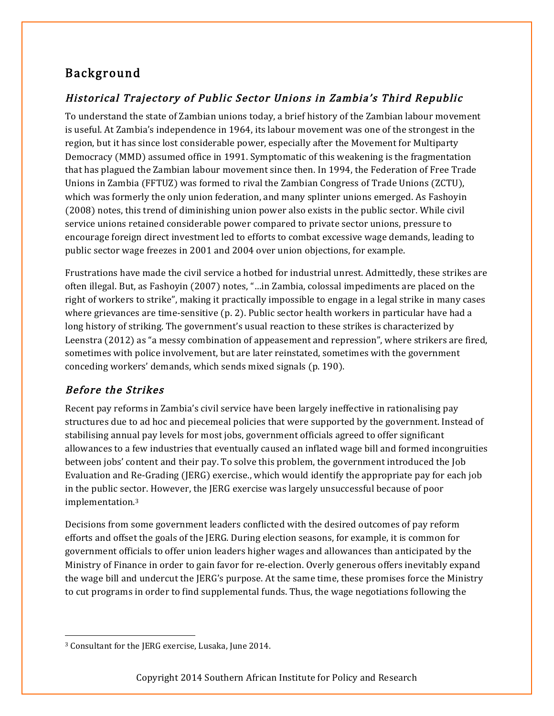# Background

# Historical Trajectory of Public Sector Unions in Zambia's Third Republic

To understand the state of Zambian unions today, a brief history of the Zambian labour movement is useful. At Zambia's independence in 1964, its labour movement was one of the strongest in the region, but it has since lost considerable power, especially after the Movement for Multiparty Democracy (MMD) assumed office in 1991. Symptomatic of this weakening is the fragmentation that has plagued the Zambian labour movement since then. In 1994, the Federation of Free Trade Unions in Zambia (FFTUZ) was formed to rival the Zambian Congress of Trade Unions (ZCTU), which was formerly the only union federation, and many splinter unions emerged. As Fashoyin (2008) notes, this trend of diminishing union power also exists in the public sector. While civil service unions retained considerable power compared to private sector unions, pressure to encourage foreign direct investment led to efforts to combat excessive wage demands, leading to public sector wage freezes in 2001 and 2004 over union objections, for example.

Frustrations have made the civil service a hotbed for industrial unrest. Admittedly, these strikes are often illegal. But, as Fashoyin (2007) notes, "…in Zambia, colossal impediments are placed on the right of workers to strike", making it practically impossible to engage in a legal strike in many cases where grievances are time-sensitive (p. 2). Public sector health workers in particular have had a long history of striking. The government's usual reaction to these strikes is characterized by Leenstra (2012) as "a messy combination of appeasement and repression", where strikers are fired, sometimes with police involvement, but are later reinstated, sometimes with the government conceding workers' demands, which sends mixed signals (p. 190).

## Before the Strikes

Recent pay reforms in Zambia's civil service have been largely ineffective in rationalising pay structures due to ad hoc and piecemeal policies that were supported by the government. Instead of stabilising annual pay levels for most jobs, government officials agreed to offer significant allowances to a few industries that eventually caused an inflated wage bill and formed incongruities between jobs' content and their pay. To solve this problem, the government introduced the Job Evaluation and Re-Grading (JERG) exercise., which would identify the appropriate pay for each job in the public sector. However, the JERG exercise was largely unsuccessful because of poor implementation.3

Decisions from some government leaders conflicted with the desired outcomes of pay reform efforts and offset the goals of the JERG. During election seasons, for example, it is common for government officials to offer union leaders higher wages and allowances than anticipated by the Ministry of Finance in order to gain favor for re-election. Overly generous offers inevitably expand the wage bill and undercut the JERG's purpose. At the same time, these promises force the Ministry to cut programs in order to find supplemental funds. Thus, the wage negotiations following the

 <sup>3</sup> Consultant for the JERG exercise, Lusaka, June 2014.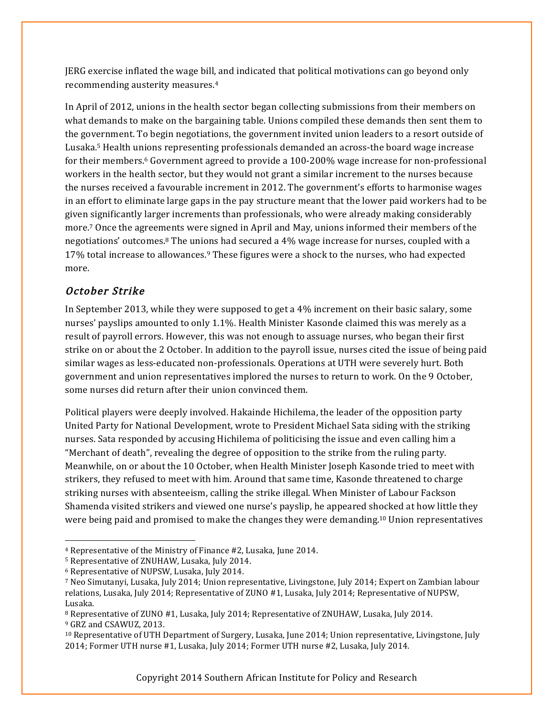JERG exercise inflated the wage bill, and indicated that political motivations can go beyond only recommending austerity measures.4

In April of 2012, unions in the health sector began collecting submissions from their members on what demands to make on the bargaining table. Unions compiled these demands then sent them to the government. To begin negotiations, the government invited union leaders to a resort outside of Lusaka.5 Health unions representing professionals demanded an across-the board wage increase for their members.6 Government agreed to provide a 100-200% wage increase for non-professional workers in the health sector, but they would not grant a similar increment to the nurses because the nurses received a favourable increment in 2012. The government's efforts to harmonise wages in an effort to eliminate large gaps in the pay structure meant that the lower paid workers had to be given significantly larger increments than professionals, who were already making considerably more.7 Once the agreements were signed in April and May, unions informed their members of the negotiations' outcomes.8 The unions had secured a 4% wage increase for nurses, coupled with a 17% total increase to allowances.9 These figures were a shock to the nurses, who had expected more.

#### October Strike

In September 2013, while they were supposed to get a 4% increment on their basic salary, some nurses' payslips amounted to only 1.1%. Health Minister Kasonde claimed this was merely as a result of payroll errors. However, this was not enough to assuage nurses, who began their first strike on or about the 2 October. In addition to the payroll issue, nurses cited the issue of being paid similar wages as less-educated non-professionals. Operations at UTH were severely hurt. Both government and union representatives implored the nurses to return to work. On the 9 October, some nurses did return after their union convinced them.

Political players were deeply involved. Hakainde Hichilema, the leader of the opposition party United Party for National Development, wrote to President Michael Sata siding with the striking nurses. Sata responded by accusing Hichilema of politicising the issue and even calling him a "Merchant of death", revealing the degree of opposition to the strike from the ruling party. Meanwhile, on or about the 10 October, when Health Minister Joseph Kasonde tried to meet with strikers, they refused to meet with him. Around that same time, Kasonde threatened to charge striking nurses with absenteeism, calling the strike illegal. When Minister of Labour Fackson Shamenda visited strikers and viewed one nurse's payslip, he appeared shocked at how little they were being paid and promised to make the changes they were demanding.10 Union representatives

 <sup>4</sup> Representative of the Ministry of Finance #2, Lusaka, June 2014.

<sup>5</sup> Representative of ZNUHAW, Lusaka, July 2014.

<sup>6</sup> Representative of NUPSW, Lusaka, July 2014.

<sup>7</sup> Neo Simutanyi, Lusaka, July 2014; Union representative, Livingstone, July 2014; Expert on Zambian labour relations, Lusaka, July 2014; Representative of ZUNO #1, Lusaka, July 2014; Representative of NUPSW, Lusaka.

<sup>8</sup> Representative of ZUNO #1, Lusaka, July 2014; Representative of ZNUHAW, Lusaka, July 2014. <sup>9</sup> GRZ and CSAWUZ, 2013.

<sup>10</sup> Representative of UTH Department of Surgery, Lusaka, June 2014; Union representative, Livingstone, July 2014; Former UTH nurse #1, Lusaka, July 2014; Former UTH nurse #2, Lusaka, July 2014.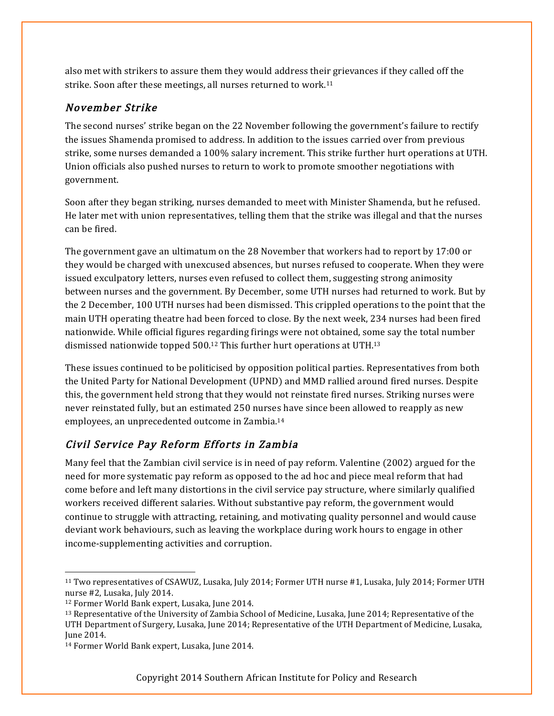also met with strikers to assure them they would address their grievances if they called off the strike. Soon after these meetings, all nurses returned to work.11

#### November Strike

The second nurses' strike began on the 22 November following the government's failure to rectify the issues Shamenda promised to address. In addition to the issues carried over from previous strike, some nurses demanded a 100% salary increment. This strike further hurt operations at UTH. Union officials also pushed nurses to return to work to promote smoother negotiations with government.

Soon after they began striking, nurses demanded to meet with Minister Shamenda, but he refused. He later met with union representatives, telling them that the strike was illegal and that the nurses can be fired.

The government gave an ultimatum on the 28 November that workers had to report by 17:00 or they would be charged with unexcused absences, but nurses refused to cooperate. When they were issued exculpatory letters, nurses even refused to collect them, suggesting strong animosity between nurses and the government. By December, some UTH nurses had returned to work. But by the 2 December, 100 UTH nurses had been dismissed. This crippled operations to the point that the main UTH operating theatre had been forced to close. By the next week, 234 nurses had been fired nationwide. While official figures regarding firings were not obtained, some say the total number dismissed nationwide topped 500.12 This further hurt operations at UTH.13

These issues continued to be politicised by opposition political parties. Representatives from both the United Party for National Development (UPND) and MMD rallied around fired nurses. Despite this, the government held strong that they would not reinstate fired nurses. Striking nurses were never reinstated fully, but an estimated 250 nurses have since been allowed to reapply as new employees, an unprecedented outcome in Zambia.14

## Civil Service Pay Reform Efforts in Zambia

Many feel that the Zambian civil service is in need of pay reform. Valentine (2002) argued for the need for more systematic pay reform as opposed to the ad hoc and piece meal reform that had come before and left many distortions in the civil service pay structure, where similarly qualified workers received different salaries. Without substantive pay reform, the government would continue to struggle with attracting, retaining, and motivating quality personnel and would cause deviant work behaviours, such as leaving the workplace during work hours to engage in other income-supplementing activities and corruption.

 <sup>11</sup> Two representatives of CSAWUZ, Lusaka, July 2014; Former UTH nurse #1, Lusaka, July 2014; Former UTH nurse #2, Lusaka, July 2014.

<sup>12</sup> Former World Bank expert, Lusaka, June 2014.

<sup>13</sup> Representative of the University of Zambia School of Medicine, Lusaka, June 2014; Representative of the UTH Department of Surgery, Lusaka, June 2014; Representative of the UTH Department of Medicine, Lusaka, June 2014.

<sup>14</sup> Former World Bank expert, Lusaka, June 2014.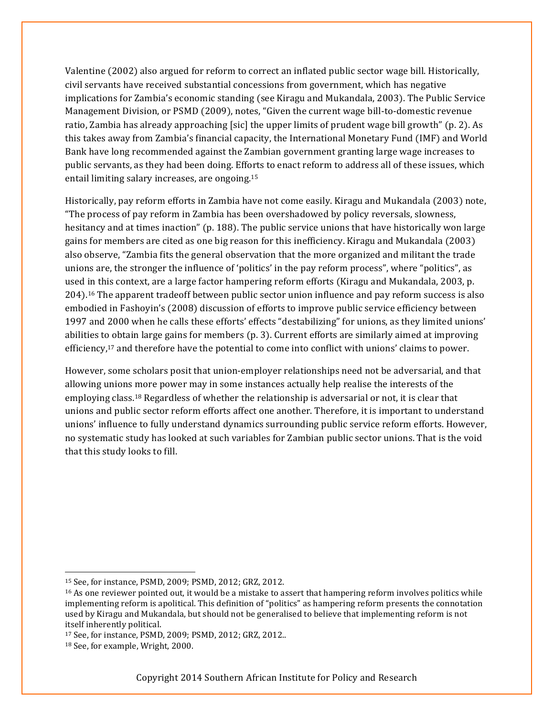Valentine (2002) also argued for reform to correct an inflated public sector wage bill. Historically, civil servants have received substantial concessions from government, which has negative implications for Zambia's economic standing (see Kiragu and Mukandala, 2003). The Public Service Management Division, or PSMD (2009), notes, "Given the current wage bill-to-domestic revenue ratio, Zambia has already approaching [sic] the upper limits of prudent wage bill growth" (p. 2). As this takes away from Zambia's financial capacity, the International Monetary Fund (IMF) and World Bank have long recommended against the Zambian government granting large wage increases to public servants, as they had been doing. Efforts to enact reform to address all of these issues, which entail limiting salary increases, are ongoing.15

Historically, pay reform efforts in Zambia have not come easily. Kiragu and Mukandala (2003) note, "The process of pay reform in Zambia has been overshadowed by policy reversals, slowness, hesitancy and at times inaction" (p. 188). The public service unions that have historically won large gains for members are cited as one big reason for this inefficiency. Kiragu and Mukandala (2003) also observe, "Zambia fits the general observation that the more organized and militant the trade unions are, the stronger the influence of 'politics' in the pay reform process", where "politics", as used in this context, are a large factor hampering reform efforts (Kiragu and Mukandala, 2003, p. 204). <sup>16</sup> The apparent tradeoff between public sector union influence and pay reform success is also embodied in Fashoyin's (2008) discussion of efforts to improve public service efficiency between 1997 and 2000 when he calls these efforts' effects "destabilizing" for unions, as they limited unions' abilities to obtain large gains for members (p. 3). Current efforts are similarly aimed at improving efficiency,17 and therefore have the potential to come into conflict with unions' claims to power.

However, some scholars posit that union-employer relationships need not be adversarial, and that allowing unions more power may in some instances actually help realise the interests of the employing class.18 Regardless of whether the relationship is adversarial or not, it is clear that unions and public sector reform efforts affect one another. Therefore, it is important to understand unions' influence to fully understand dynamics surrounding public service reform efforts. However, no systematic study has looked at such variables for Zambian public sector unions. That is the void that this study looks to fill.

 <sup>15</sup> See, for instance, PSMD, 2009; PSMD, 2012; GRZ, 2012.

<sup>&</sup>lt;sup>16</sup> As one reviewer pointed out, it would be a mistake to assert that hampering reform involves politics while implementing reform is apolitical. This definition of "politics" as hampering reform presents the connotation used by Kiragu and Mukandala, but should not be generalised to believe that implementing reform is not itself inherently political.

<sup>17</sup> See, for instance, PSMD, 2009; PSMD, 2012; GRZ, 2012..

<sup>18</sup> See, for example, Wright, 2000.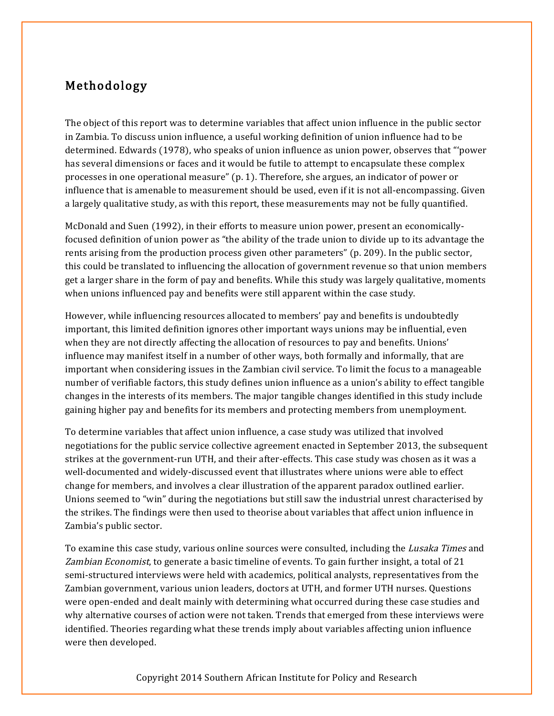# Methodology

The object of this report was to determine variables that affect union influence in the public sector in Zambia. To discuss union influence, a useful working definition of union influence had to be determined. Edwards (1978), who speaks of union influence as union power, observes that "'power has several dimensions or faces and it would be futile to attempt to encapsulate these complex processes in one operational measure" (p. 1). Therefore, she argues, an indicator of power or influence that is amenable to measurement should be used, even if it is not all-encompassing. Given a largely qualitative study, as with this report, these measurements may not be fully quantified.

McDonald and Suen (1992), in their efforts to measure union power, present an economicallyfocused definition of union power as "the ability of the trade union to divide up to its advantage the rents arising from the production process given other parameters" (p. 209). In the public sector, this could be translated to influencing the allocation of government revenue so that union members get a larger share in the form of pay and benefits. While this study was largely qualitative, moments when unions influenced pay and benefits were still apparent within the case study.

However, while influencing resources allocated to members' pay and benefits is undoubtedly important, this limited definition ignores other important ways unions may be influential, even when they are not directly affecting the allocation of resources to pay and benefits. Unions' influence may manifest itself in a number of other ways, both formally and informally, that are important when considering issues in the Zambian civil service. To limit the focus to a manageable number of verifiable factors, this study defines union influence as a union's ability to effect tangible changes in the interests of its members. The major tangible changes identified in this study include gaining higher pay and benefits for its members and protecting members from unemployment.

To determine variables that affect union influence, a case study was utilized that involved negotiations for the public service collective agreement enacted in September 2013, the subsequent strikes at the government-run UTH, and their after-effects. This case study was chosen as it was a well-documented and widely-discussed event that illustrates where unions were able to effect change for members, and involves a clear illustration of the apparent paradox outlined earlier. Unions seemed to "win" during the negotiations but still saw the industrial unrest characterised by the strikes. The findings were then used to theorise about variables that affect union influence in Zambia's public sector.

To examine this case study, various online sources were consulted, including the *Lusaka Times* and Zambian Economist, to generate a basic timeline of events. To gain further insight, a total of 21 semi-structured interviews were held with academics, political analysts, representatives from the Zambian government, various union leaders, doctors at UTH, and former UTH nurses. Questions were open-ended and dealt mainly with determining what occurred during these case studies and why alternative courses of action were not taken. Trends that emerged from these interviews were identified. Theories regarding what these trends imply about variables affecting union influence were then developed.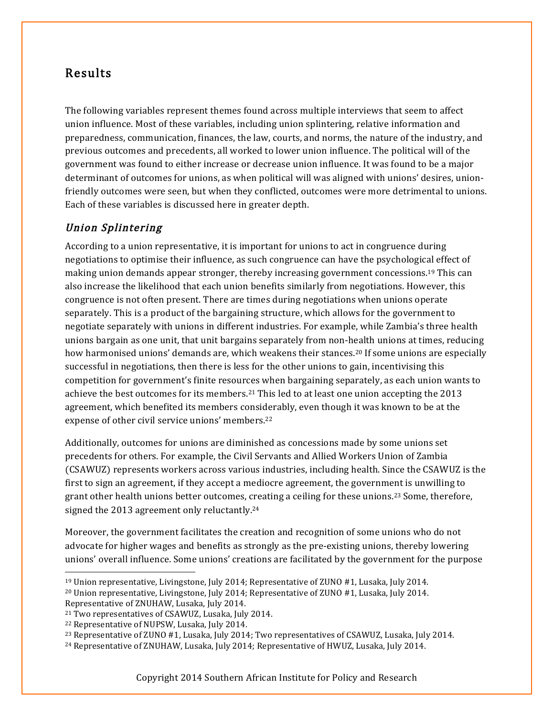# Results

The following variables represent themes found across multiple interviews that seem to affect union influence. Most of these variables, including union splintering, relative information and preparedness, communication, finances, the law, courts, and norms, the nature of the industry, and previous outcomes and precedents, all worked to lower union influence. The political will of the government was found to either increase or decrease union influence. It was found to be a major determinant of outcomes for unions, as when political will was aligned with unions' desires, unionfriendly outcomes were seen, but when they conflicted, outcomes were more detrimental to unions. Each of these variables is discussed here in greater depth.

#### Union Splintering

According to a union representative, it is important for unions to act in congruence during negotiations to optimise their influence, as such congruence can have the psychological effect of making union demands appear stronger, thereby increasing government concessions.19 This can also increase the likelihood that each union benefits similarly from negotiations. However, this congruence is not often present. There are times during negotiations when unions operate separately. This is a product of the bargaining structure, which allows for the government to negotiate separately with unions in different industries. For example, while Zambia's three health unions bargain as one unit, that unit bargains separately from non-health unions at times, reducing how harmonised unions' demands are, which weakens their stances.20 If some unions are especially successful in negotiations, then there is less for the other unions to gain, incentivising this competition for government's finite resources when bargaining separately, as each union wants to achieve the best outcomes for its members.21 This led to at least one union accepting the 2013 agreement, which benefited its members considerably, even though it was known to be at the expense of other civil service unions' members.22

Additionally, outcomes for unions are diminished as concessions made by some unions set precedents for others. For example, the Civil Servants and Allied Workers Union of Zambia (CSAWUZ) represents workers across various industries, including health. Since the CSAWUZ is the first to sign an agreement, if they accept a mediocre agreement, the government is unwilling to grant other health unions better outcomes, creating a ceiling for these unions.23 Some, therefore, signed the 2013 agreement only reluctantly.24

Moreover, the government facilitates the creation and recognition of some unions who do not advocate for higher wages and benefits as strongly as the pre-existing unions, thereby lowering unions' overall influence. Some unions' creations are facilitated by the government for the purpose

 <sup>19</sup> Union representative, Livingstone, July 2014; Representative of ZUNO #1, Lusaka, July 2014. <sup>20</sup> Union representative, Livingstone, July 2014; Representative of ZUNO #1, Lusaka, July 2014. Representative of ZNUHAW, Lusaka, July 2014.

<sup>21</sup> Two representatives of CSAWUZ, Lusaka, July 2014.

<sup>22</sup> Representative of NUPSW, Lusaka, July 2014.

<sup>23</sup> Representative of ZUNO #1, Lusaka, July 2014; Two representatives of CSAWUZ, Lusaka, July 2014.

<sup>24</sup> Representative of ZNUHAW, Lusaka, July 2014; Representative of HWUZ, Lusaka, July 2014.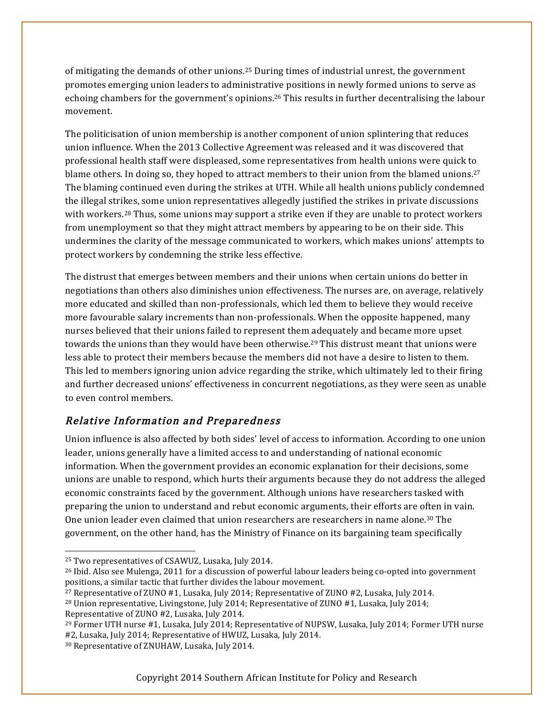of mitigating the demands of other unions.25 During times of industrial unrest, the government promotes emerging union leaders to administrative positions in newly formed unions to serve as echoing chambers for the government's opinions.26 This results in further decentralising the labour movement.

The politicisation of union membership is another component of union splintering that reduces union influence. When the 2013 Collective Agreement was released and it was discovered that professional health staff were displeased, some representatives from health unions were quick to blame others. In doing so, they hoped to attract members to their union from the blamed unions.<sup>27</sup> The blaming continued even during the strikes at UTH. While all health unions publicly condemned the illegal strikes, some union representatives allegedly justified the strikes in private discussions with workers.<sup>28</sup> Thus, some unions may support a strike even if they are unable to protect workers from unemployment so that they might attract members by appearing to be on their side. This undermines the clarity of the message communicated to workers, which makes unions' attempts to protect workers by condemning the strike less effective.

The distrust that emerges between members and their unions when certain unions do better in negotiations than others also diminishes union effectiveness. The nurses are, on average, relatively more educated and skilled than non-professionals, which led them to believe they would receive more favourable salary increments than non-professionals. When the opposite happened, many nurses believed that their unions failed to represent them adequately and became more upset towards the unions than they would have been otherwise.<sup>29</sup> This distrust meant that unions were less able to protect their members because the members did not have a desire to listen to them. This led to members ignoring union advice regarding the strike, which ultimately led to their firing and further decreased unions' effectiveness in concurrent negotiations, as they were seen as unable to even control members.

#### Relative Information and Preparedness

Union influence is also affected by both sides' level of access to information. According to one union leader, unions generally have a limited access to and understanding of national economic information. When the government provides an economic explanation for their decisions, some unions are unable to respond, which hurts their arguments because they do not address the alleged economic constraints faced by the government. Although unions have researchers tasked with preparing the union to understand and rebut economic arguments, their efforts are often in vain. One union leader even claimed that union researchers are researchers in name alone.30 The government, on the other hand, has the Ministry of Finance on its bargaining team specifically

<sup>27</sup> Representative of ZUNO #1, Lusaka, July 2014; Representative of ZUNO #2, Lusaka, July 2014. <sup>28</sup> Union representative, Livingstone, July 2014; Representative of ZUNO #1, Lusaka, July 2014; Representative of ZUNO #2, Lusaka, July 2014.

<sup>29</sup> Former UTH nurse #1, Lusaka, July 2014; Representative of NUPSW, Lusaka, July 2014; Former UTH nurse

#2, Lusaka, July 2014; Representative of HWUZ, Lusaka, July 2014.

 <sup>25</sup> Two representatives of CSAWUZ, Lusaka, July 2014.

<sup>&</sup>lt;sup>26</sup> Ibid. Also see Mulenga, 2011 for a discussion of powerful labour leaders being co-opted into government positions, a similar tactic that further divides the labour movement.

<sup>30</sup> Representative of ZNUHAW, Lusaka, July 2014.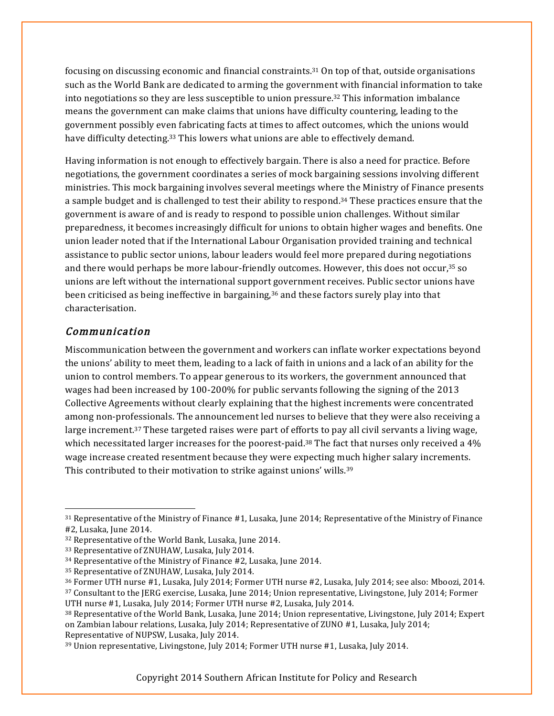focusing on discussing economic and financial constraints.31 On top of that, outside organisations such as the World Bank are dedicated to arming the government with financial information to take into negotiations so they are less susceptible to union pressure.32 This information imbalance means the government can make claims that unions have difficulty countering, leading to the government possibly even fabricating facts at times to affect outcomes, which the unions would have difficulty detecting.33 This lowers what unions are able to effectively demand.

Having information is not enough to effectively bargain. There is also a need for practice. Before negotiations, the government coordinates a series of mock bargaining sessions involving different ministries. This mock bargaining involves several meetings where the Ministry of Finance presents a sample budget and is challenged to test their ability to respond.34 These practices ensure that the government is aware of and is ready to respond to possible union challenges. Without similar preparedness, it becomes increasingly difficult for unions to obtain higher wages and benefits. One union leader noted that if the International Labour Organisation provided training and technical assistance to public sector unions, labour leaders would feel more prepared during negotiations and there would perhaps be more labour-friendly outcomes. However, this does not occur,<sup>35</sup> so unions are left without the international support government receives. Public sector unions have been criticised as being ineffective in bargaining, $36$  and these factors surely play into that characterisation.

#### Communication

Miscommunication between the government and workers can inflate worker expectations beyond the unions' ability to meet them, leading to a lack of faith in unions and a lack of an ability for the union to control members. To appear generous to its workers, the government announced that wages had been increased by 100-200% for public servants following the signing of the 2013 Collective Agreements without clearly explaining that the highest increments were concentrated among non-professionals. The announcement led nurses to believe that they were also receiving a large increment.<sup>37</sup> These targeted raises were part of efforts to pay all civil servants a living wage, which necessitated larger increases for the poorest-paid.<sup>38</sup> The fact that nurses only received a 4% wage increase created resentment because they were expecting much higher salary increments. This contributed to their motivation to strike against unions' wills.39

 <sup>31</sup> Representative of the Ministry of Finance #1, Lusaka, June 2014; Representative of the Ministry of Finance #2, Lusaka, June 2014.

<sup>32</sup> Representative of the World Bank, Lusaka, June 2014.

<sup>33</sup> Representative of ZNUHAW, Lusaka, July 2014.

<sup>34</sup> Representative of the Ministry of Finance #2, Lusaka, June 2014.

<sup>35</sup> Representative of ZNUHAW, Lusaka, July 2014.

<sup>36</sup> Former UTH nurse #1, Lusaka, July 2014; Former UTH nurse #2, Lusaka, July 2014; see also: Mboozi, 2014.

<sup>37</sup> Consultant to the JERG exercise, Lusaka, June 2014; Union representative, Livingstone, July 2014; Former

UTH nurse #1, Lusaka, July 2014; Former UTH nurse #2, Lusaka, July 2014.

<sup>38</sup> Representative of the World Bank, Lusaka, June 2014; Union representative, Livingstone, July 2014; Expert on Zambian labour relations, Lusaka, July 2014; Representative of ZUNO #1, Lusaka, July 2014; Representative of NUPSW, Lusaka, July 2014.

<sup>39</sup> Union representative, Livingstone, July 2014; Former UTH nurse #1, Lusaka, July 2014.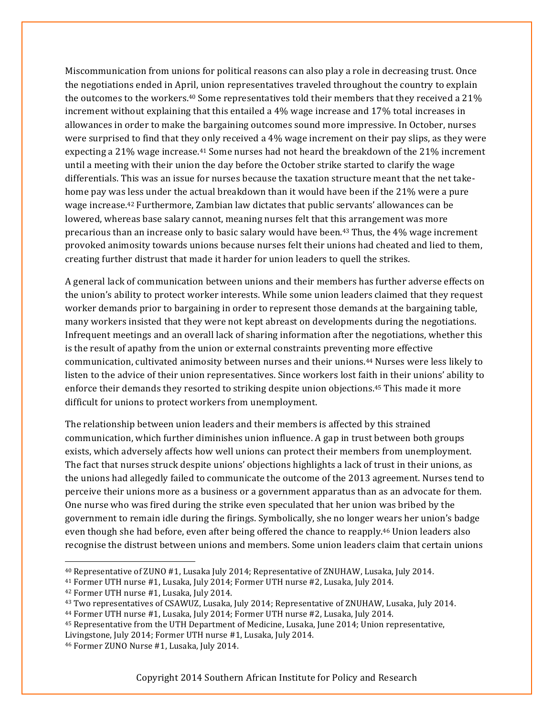Miscommunication from unions for political reasons can also play a role in decreasing trust. Once the negotiations ended in April, union representatives traveled throughout the country to explain the outcomes to the workers.40 Some representatives told their members that they received a 21% increment without explaining that this entailed a 4% wage increase and 17% total increases in allowances in order to make the bargaining outcomes sound more impressive. In October, nurses were surprised to find that they only received a 4% wage increment on their pay slips, as they were expecting a 21% wage increase.41 Some nurses had not heard the breakdown of the 21% increment until a meeting with their union the day before the October strike started to clarify the wage differentials. This was an issue for nurses because the taxation structure meant that the net takehome pay was less under the actual breakdown than it would have been if the 21% were a pure wage increase.42 Furthermore, Zambian law dictates that public servants' allowances can be lowered, whereas base salary cannot, meaning nurses felt that this arrangement was more precarious than an increase only to basic salary would have been.43 Thus, the 4% wage increment provoked animosity towards unions because nurses felt their unions had cheated and lied to them, creating further distrust that made it harder for union leaders to quell the strikes.

A general lack of communication between unions and their members has further adverse effects on the union's ability to protect worker interests. While some union leaders claimed that they request worker demands prior to bargaining in order to represent those demands at the bargaining table, many workers insisted that they were not kept abreast on developments during the negotiations. Infrequent meetings and an overall lack of sharing information after the negotiations, whether this is the result of apathy from the union or external constraints preventing more effective communication, cultivated animosity between nurses and their unions.44 Nurses were less likely to listen to the advice of their union representatives. Since workers lost faith in their unions' ability to enforce their demands they resorted to striking despite union objections.45 This made it more difficult for unions to protect workers from unemployment.

The relationship between union leaders and their members is affected by this strained communication, which further diminishes union influence. A gap in trust between both groups exists, which adversely affects how well unions can protect their members from unemployment. The fact that nurses struck despite unions' objections highlights a lack of trust in their unions, as the unions had allegedly failed to communicate the outcome of the 2013 agreement. Nurses tend to perceive their unions more as a business or a government apparatus than as an advocate for them. One nurse who was fired during the strike even speculated that her union was bribed by the government to remain idle during the firings. Symbolically, she no longer wears her union's badge even though she had before, even after being offered the chance to reapply.46 Union leaders also recognise the distrust between unions and members. Some union leaders claim that certain unions

 <sup>40</sup> Representative of ZUNO #1, Lusaka July 2014; Representative of ZNUHAW, Lusaka, July 2014.

<sup>41</sup> Former UTH nurse #1, Lusaka, July 2014; Former UTH nurse #2, Lusaka, July 2014. 42 Former UTH nurse #1, Lusaka, July 2014.

<sup>&</sup>lt;sup>43</sup> Two representatives of CSAWUZ, Lusaka, July 2014; Representative of ZNUHAW, Lusaka, July 2014.<br><sup>44</sup> Former UTH nurse #1, Lusaka, July 2014; Former UTH nurse #2, Lusaka, July 2014.

<sup>45</sup> Representative from the UTH Department of Medicine, Lusaka, June 2014; Union representative, Livingstone, July 2014; Former UTH nurse #1, Lusaka, July 2014.

<sup>46</sup> Former ZUNO Nurse #1, Lusaka, July 2014.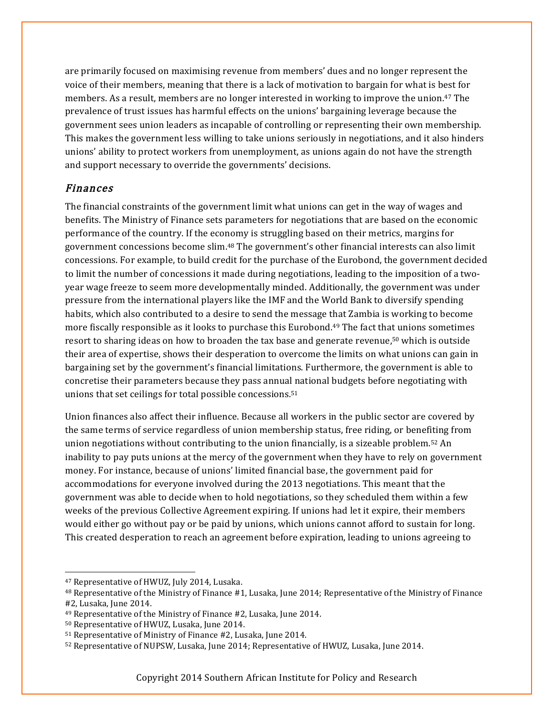are primarily focused on maximising revenue from members' dues and no longer represent the voice of their members, meaning that there is a lack of motivation to bargain for what is best for members. As a result, members are no longer interested in working to improve the union.<sup>47</sup> The prevalence of trust issues has harmful effects on the unions' bargaining leverage because the government sees union leaders as incapable of controlling or representing their own membership. This makes the government less willing to take unions seriously in negotiations, and it also hinders unions' ability to protect workers from unemployment, as unions again do not have the strength and support necessary to override the governments' decisions.

#### Finances

The financial constraints of the government limit what unions can get in the way of wages and benefits. The Ministry of Finance sets parameters for negotiations that are based on the economic performance of the country. If the economy is struggling based on their metrics, margins for government concessions become slim.48 The government's other financial interests can also limit concessions. For example, to build credit for the purchase of the Eurobond, the government decided to limit the number of concessions it made during negotiations, leading to the imposition of a twoyear wage freeze to seem more developmentally minded. Additionally, the government was under pressure from the international players like the IMF and the World Bank to diversify spending habits, which also contributed to a desire to send the message that Zambia is working to become more fiscally responsible as it looks to purchase this Eurobond.49 The fact that unions sometimes resort to sharing ideas on how to broaden the tax base and generate revenue,50 which is outside their area of expertise, shows their desperation to overcome the limits on what unions can gain in bargaining set by the government's financial limitations. Furthermore, the government is able to concretise their parameters because they pass annual national budgets before negotiating with unions that set ceilings for total possible concessions.51

Union finances also affect their influence. Because all workers in the public sector are covered by the same terms of service regardless of union membership status, free riding, or benefiting from union negotiations without contributing to the union financially, is a sizeable problem.<sup>52</sup> An inability to pay puts unions at the mercy of the government when they have to rely on government money. For instance, because of unions' limited financial base, the government paid for accommodations for everyone involved during the 2013 negotiations. This meant that the government was able to decide when to hold negotiations, so they scheduled them within a few weeks of the previous Collective Agreement expiring. If unions had let it expire, their members would either go without pay or be paid by unions, which unions cannot afford to sustain for long. This created desperation to reach an agreement before expiration, leading to unions agreeing to

 <sup>47</sup> Representative of HWUZ, July 2014, Lusaka.

<sup>48</sup> Representative of the Ministry of Finance #1, Lusaka, June 2014; Representative of the Ministry of Finance #2, Lusaka, June 2014.

<sup>49</sup> Representative of the Ministry of Finance #2, Lusaka, June 2014.

<sup>50</sup> Representative of HWUZ, Lusaka, June 2014.

<sup>51</sup> Representative of Ministry of Finance #2, Lusaka, June 2014.

<sup>52</sup> Representative of NUPSW, Lusaka, June 2014; Representative of HWUZ, Lusaka, June 2014.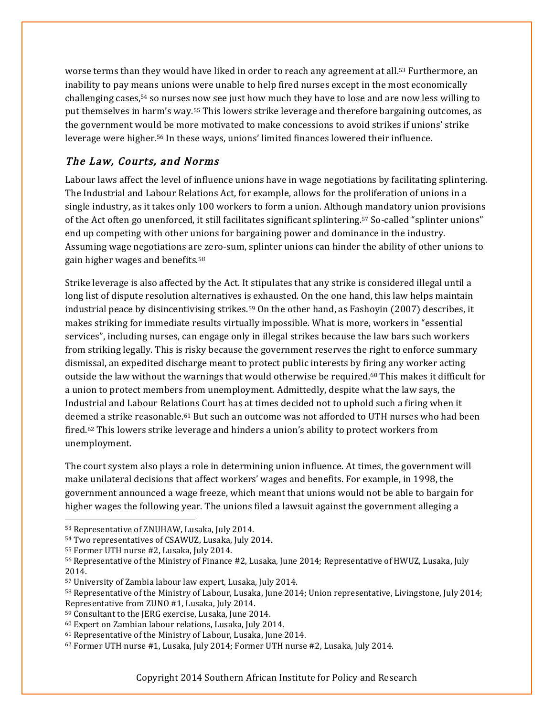worse terms than they would have liked in order to reach any agreement at all.<sup>53</sup> Furthermore, an inability to pay means unions were unable to help fired nurses except in the most economically challenging cases,<sup>54</sup> so nurses now see just how much they have to lose and are now less willing to put themselves in harm's way.55 This lowers strike leverage and therefore bargaining outcomes, as the government would be more motivated to make concessions to avoid strikes if unions' strike leverage were higher.56 In these ways, unions' limited finances lowered their influence.

#### The Law, Courts, and Norms

Labour laws affect the level of influence unions have in wage negotiations by facilitating splintering. The Industrial and Labour Relations Act, for example, allows for the proliferation of unions in a single industry, as it takes only 100 workers to form a union. Although mandatory union provisions of the Act often go unenforced, it still facilitates significant splintering.57 So-called "splinter unions" end up competing with other unions for bargaining power and dominance in the industry. Assuming wage negotiations are zero-sum, splinter unions can hinder the ability of other unions to gain higher wages and benefits.58

Strike leverage is also affected by the Act. It stipulates that any strike is considered illegal until a long list of dispute resolution alternatives is exhausted. On the one hand, this law helps maintain industrial peace by disincentivising strikes.59 On the other hand, as Fashoyin (2007) describes, it makes striking for immediate results virtually impossible. What is more, workers in "essential services", including nurses, can engage only in illegal strikes because the law bars such workers from striking legally. This is risky because the government reserves the right to enforce summary dismissal, an expedited discharge meant to protect public interests by firing any worker acting outside the law without the warnings that would otherwise be required.60 This makes it difficult for a union to protect members from unemployment. Admittedly, despite what the law says, the Industrial and Labour Relations Court has at times decided not to uphold such a firing when it deemed a strike reasonable.61 But such an outcome was not afforded to UTH nurses who had been fired. <sup>62</sup> This lowers strike leverage and hinders a union's ability to protect workers from unemployment.

The court system also plays a role in determining union influence. At times, the government will make unilateral decisions that affect workers' wages and benefits. For example, in 1998, the government announced a wage freeze, which meant that unions would not be able to bargain for higher wages the following year. The unions filed a lawsuit against the government alleging a

 <sup>53</sup> Representative of ZNUHAW, Lusaka, July 2014.

<sup>54</sup> Two representatives of CSAWUZ, Lusaka, July 2014.

<sup>55</sup> Former UTH nurse #2, Lusaka, July 2014.

<sup>56</sup> Representative of the Ministry of Finance #2, Lusaka, June 2014; Representative of HWUZ, Lusaka, July 2014.

<sup>57</sup> University of Zambia labour law expert, Lusaka, July 2014.

<sup>58</sup> Representative of the Ministry of Labour, Lusaka, June 2014; Union representative, Livingstone, July 2014; Representative from ZUNO #1, Lusaka, July 2014.

<sup>59</sup> Consultant to the JERG exercise, Lusaka, June 2014.

<sup>60</sup> Expert on Zambian labour relations, Lusaka, July 2014.

<sup>61</sup> Representative of the Ministry of Labour, Lusaka, June 2014.

<sup>62</sup> Former UTH nurse #1, Lusaka, July 2014; Former UTH nurse #2, Lusaka, July 2014.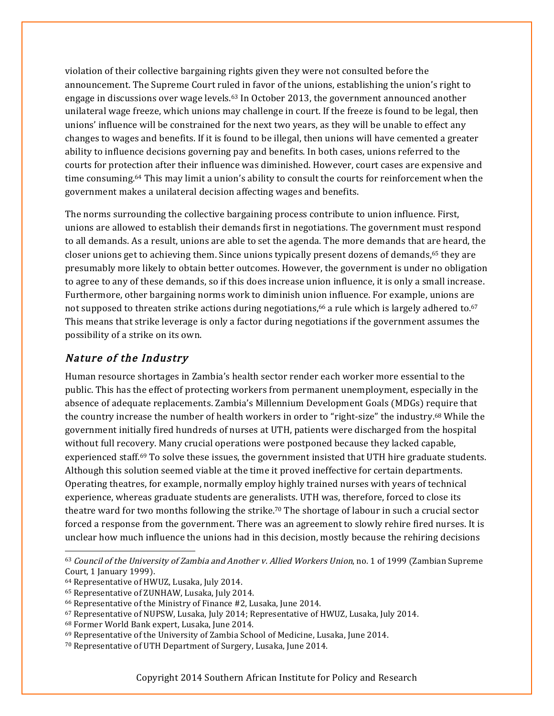violation of their collective bargaining rights given they were not consulted before the announcement. The Supreme Court ruled in favor of the unions, establishing the union's right to engage in discussions over wage levels.63 In October 2013, the government announced another unilateral wage freeze, which unions may challenge in court. If the freeze is found to be legal, then unions' influence will be constrained for the next two years, as they will be unable to effect any changes to wages and benefits. If it is found to be illegal, then unions will have cemented a greater ability to influence decisions governing pay and benefits. In both cases, unions referred to the courts for protection after their influence was diminished. However, court cases are expensive and time consuming.64 This may limit a union's ability to consult the courts for reinforcement when the government makes a unilateral decision affecting wages and benefits.

The norms surrounding the collective bargaining process contribute to union influence. First, unions are allowed to establish their demands first in negotiations. The government must respond to all demands. As a result, unions are able to set the agenda. The more demands that are heard, the closer unions get to achieving them. Since unions typically present dozens of demands,<sup>65</sup> they are presumably more likely to obtain better outcomes. However, the government is under no obligation to agree to any of these demands, so if this does increase union influence, it is only a small increase. Furthermore, other bargaining norms work to diminish union influence. For example, unions are not supposed to threaten strike actions during negotiations,<sup>66</sup> a rule which is largely adhered to.<sup>67</sup> This means that strike leverage is only a factor during negotiations if the government assumes the possibility of a strike on its own.

#### Nature of the Industry

Human resource shortages in Zambia's health sector render each worker more essential to the public. This has the effect of protecting workers from permanent unemployment, especially in the absence of adequate replacements. Zambia's Millennium Development Goals (MDGs) require that the country increase the number of health workers in order to "right-size" the industry.68 While the government initially fired hundreds of nurses at UTH, patients were discharged from the hospital without full recovery. Many crucial operations were postponed because they lacked capable, experienced staff.69 To solve these issues, the government insisted that UTH hire graduate students. Although this solution seemed viable at the time it proved ineffective for certain departments. Operating theatres, for example, normally employ highly trained nurses with years of technical experience, whereas graduate students are generalists. UTH was, therefore, forced to close its theatre ward for two months following the strike.70 The shortage of labour in such a crucial sector forced a response from the government. There was an agreement to slowly rehire fired nurses. It is unclear how much influence the unions had in this decision, mostly because the rehiring decisions

 <sup>63</sup> Council of the University of Zambia and Another v. Allied Workers Union, no. 1 of 1999 (Zambian Supreme Court, 1 January 1999).

<sup>64</sup> Representative of HWUZ, Lusaka, July 2014.

<sup>65</sup> Representative of ZUNHAW, Lusaka, July 2014.

<sup>66</sup> Representative of the Ministry of Finance #2, Lusaka, June 2014.

<sup>67</sup> Representative of NUPSW, Lusaka, July 2014; Representative of HWUZ, Lusaka, July 2014.

<sup>68</sup> Former World Bank expert, Lusaka, June 2014.

<sup>69</sup> Representative of the University of Zambia School of Medicine, Lusaka, June 2014.

<sup>70</sup> Representative of UTH Department of Surgery, Lusaka, June 2014.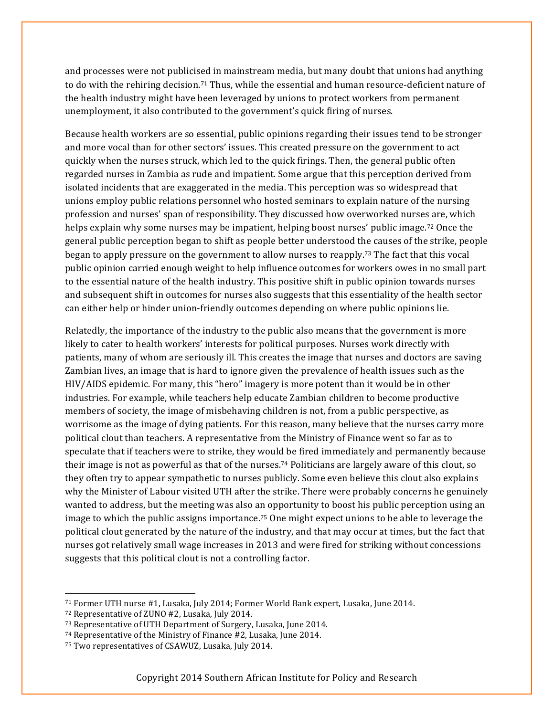and processes were not publicised in mainstream media, but many doubt that unions had anything to do with the rehiring decision.71 Thus, while the essential and human resource-deficient nature of the health industry might have been leveraged by unions to protect workers from permanent unemployment, it also contributed to the government's quick firing of nurses.

Because health workers are so essential, public opinions regarding their issues tend to be stronger and more vocal than for other sectors' issues. This created pressure on the government to act quickly when the nurses struck, which led to the quick firings. Then, the general public often regarded nurses in Zambia as rude and impatient. Some argue that this perception derived from isolated incidents that are exaggerated in the media. This perception was so widespread that unions employ public relations personnel who hosted seminars to explain nature of the nursing profession and nurses' span of responsibility. They discussed how overworked nurses are, which helps explain why some nurses may be impatient, helping boost nurses' public image.72 Once the general public perception began to shift as people better understood the causes of the strike, people began to apply pressure on the government to allow nurses to reapply.73 The fact that this vocal public opinion carried enough weight to help influence outcomes for workers owes in no small part to the essential nature of the health industry. This positive shift in public opinion towards nurses and subsequent shift in outcomes for nurses also suggests that this essentiality of the health sector can either help or hinder union-friendly outcomes depending on where public opinions lie.

Relatedly, the importance of the industry to the public also means that the government is more likely to cater to health workers' interests for political purposes. Nurses work directly with patients, many of whom are seriously ill. This creates the image that nurses and doctors are saving Zambian lives, an image that is hard to ignore given the prevalence of health issues such as the HIV/AIDS epidemic. For many, this "hero" imagery is more potent than it would be in other industries. For example, while teachers help educate Zambian children to become productive members of society, the image of misbehaving children is not, from a public perspective, as worrisome as the image of dying patients. For this reason, many believe that the nurses carry more political clout than teachers. A representative from the Ministry of Finance went so far as to speculate that if teachers were to strike, they would be fired immediately and permanently because their image is not as powerful as that of the nurses.74 Politicians are largely aware of this clout, so they often try to appear sympathetic to nurses publicly. Some even believe this clout also explains why the Minister of Labour visited UTH after the strike. There were probably concerns he genuinely wanted to address, but the meeting was also an opportunity to boost his public perception using an image to which the public assigns importance.<sup>75</sup> One might expect unions to be able to leverage the political clout generated by the nature of the industry, and that may occur at times, but the fact that nurses got relatively small wage increases in 2013 and were fired for striking without concessions suggests that this political clout is not a controlling factor.

 <sup>71</sup> Former UTH nurse #1, Lusaka, July 2014; Former World Bank expert, Lusaka, June 2014.

<sup>72</sup> Representative of ZUNO #2, Lusaka, July 2014.

<sup>73</sup> Representative of UTH Department of Surgery, Lusaka, June 2014.

<sup>74</sup> Representative of the Ministry of Finance #2, Lusaka, June 2014.

<sup>75</sup> Two representatives of CSAWUZ, Lusaka, July 2014.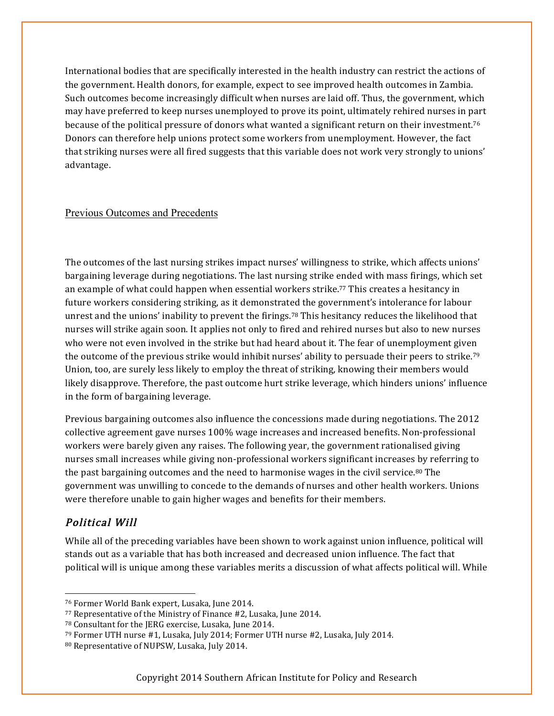International bodies that are specifically interested in the health industry can restrict the actions of the government. Health donors, for example, expect to see improved health outcomes in Zambia. Such outcomes become increasingly difficult when nurses are laid off. Thus, the government, which may have preferred to keep nurses unemployed to prove its point, ultimately rehired nurses in part because of the political pressure of donors what wanted a significant return on their investment.76 Donors can therefore help unions protect some workers from unemployment. However, the fact that striking nurses were all fired suggests that this variable does not work very strongly to unions' advantage.

#### Previous Outcomes and Precedents

The outcomes of the last nursing strikes impact nurses' willingness to strike, which affects unions' bargaining leverage during negotiations. The last nursing strike ended with mass firings, which set an example of what could happen when essential workers strike.77 This creates a hesitancy in future workers considering striking, as it demonstrated the government's intolerance for labour unrest and the unions' inability to prevent the firings.<sup>78</sup> This hesitancy reduces the likelihood that nurses will strike again soon. It applies not only to fired and rehired nurses but also to new nurses who were not even involved in the strike but had heard about it. The fear of unemployment given the outcome of the previous strike would inhibit nurses' ability to persuade their peers to strike.79 Union, too, are surely less likely to employ the threat of striking, knowing their members would likely disapprove. Therefore, the past outcome hurt strike leverage, which hinders unions' influence in the form of bargaining leverage.

Previous bargaining outcomes also influence the concessions made during negotiations. The 2012 collective agreement gave nurses 100% wage increases and increased benefits. Non-professional workers were barely given any raises. The following year, the government rationalised giving nurses small increases while giving non-professional workers significant increases by referring to the past bargaining outcomes and the need to harmonise wages in the civil service.<sup>80</sup> The government was unwilling to concede to the demands of nurses and other health workers. Unions were therefore unable to gain higher wages and benefits for their members.

#### Political Will

While all of the preceding variables have been shown to work against union influence, political will stands out as a variable that has both increased and decreased union influence. The fact that political will is unique among these variables merits a discussion of what affects political will. While

 <sup>76</sup> Former World Bank expert, Lusaka, June 2014.

<sup>77</sup> Representative of the Ministry of Finance #2, Lusaka, June 2014.

<sup>78</sup> Consultant for the JERG exercise, Lusaka, June 2014.

<sup>79</sup> Former UTH nurse #1, Lusaka, July 2014; Former UTH nurse #2, Lusaka, July 2014.

<sup>80</sup> Representative of NUPSW, Lusaka, July 2014.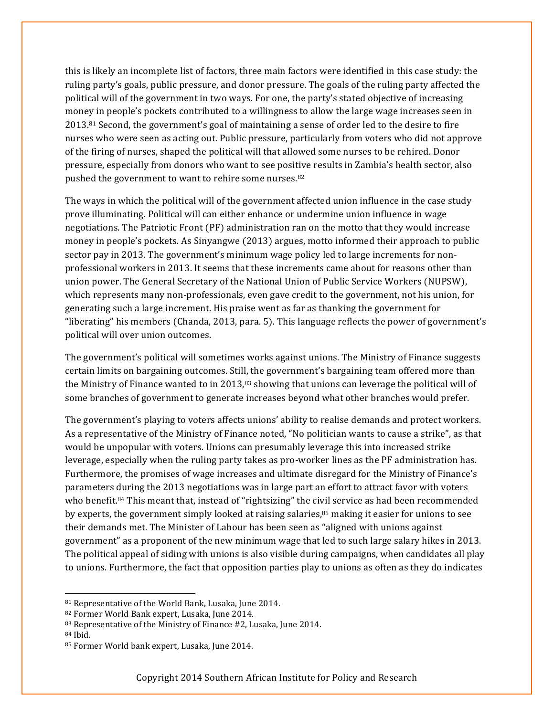this is likely an incomplete list of factors, three main factors were identified in this case study: the ruling party's goals, public pressure, and donor pressure. The goals of the ruling party affected the political will of the government in two ways. For one, the party's stated objective of increasing money in people's pockets contributed to a willingness to allow the large wage increases seen in 2013.81 Second, the government's goal of maintaining a sense of order led to the desire to fire nurses who were seen as acting out. Public pressure, particularly from voters who did not approve of the firing of nurses, shaped the political will that allowed some nurses to be rehired. Donor pressure, especially from donors who want to see positive results in Zambia's health sector, also pushed the government to want to rehire some nurses.82

The ways in which the political will of the government affected union influence in the case study prove illuminating. Political will can either enhance or undermine union influence in wage negotiations. The Patriotic Front (PF) administration ran on the motto that they would increase money in people's pockets. As Sinyangwe (2013) argues, motto informed their approach to public sector pay in 2013. The government's minimum wage policy led to large increments for nonprofessional workers in 2013. It seems that these increments came about for reasons other than union power. The General Secretary of the National Union of Public Service Workers (NUPSW), which represents many non-professionals, even gave credit to the government, not his union, for generating such a large increment. His praise went as far as thanking the government for "liberating" his members (Chanda, 2013, para. 5). This language reflects the power of government's political will over union outcomes.

The government's political will sometimes works against unions. The Ministry of Finance suggests certain limits on bargaining outcomes. Still, the government's bargaining team offered more than the Ministry of Finance wanted to in 2013,<sup>83</sup> showing that unions can leverage the political will of some branches of government to generate increases beyond what other branches would prefer.

The government's playing to voters affects unions' ability to realise demands and protect workers. As a representative of the Ministry of Finance noted, "No politician wants to cause a strike", as that would be unpopular with voters. Unions can presumably leverage this into increased strike leverage, especially when the ruling party takes as pro-worker lines as the PF administration has. Furthermore, the promises of wage increases and ultimate disregard for the Ministry of Finance's parameters during the 2013 negotiations was in large part an effort to attract favor with voters who benefit.<sup>84</sup> This meant that, instead of "rightsizing" the civil service as had been recommended by experts, the government simply looked at raising salaries,85 making it easier for unions to see their demands met. The Minister of Labour has been seen as "aligned with unions against government" as a proponent of the new minimum wage that led to such large salary hikes in 2013. The political appeal of siding with unions is also visible during campaigns, when candidates all play to unions. Furthermore, the fact that opposition parties play to unions as often as they do indicates

 <sup>81</sup> Representative of the World Bank, Lusaka, June 2014.

<sup>82</sup> Former World Bank expert, Lusaka, June 2014.

<sup>83</sup> Representative of the Ministry of Finance #2, Lusaka, June 2014.

<sup>84</sup> Ibid.

<sup>85</sup> Former World bank expert, Lusaka, June 2014.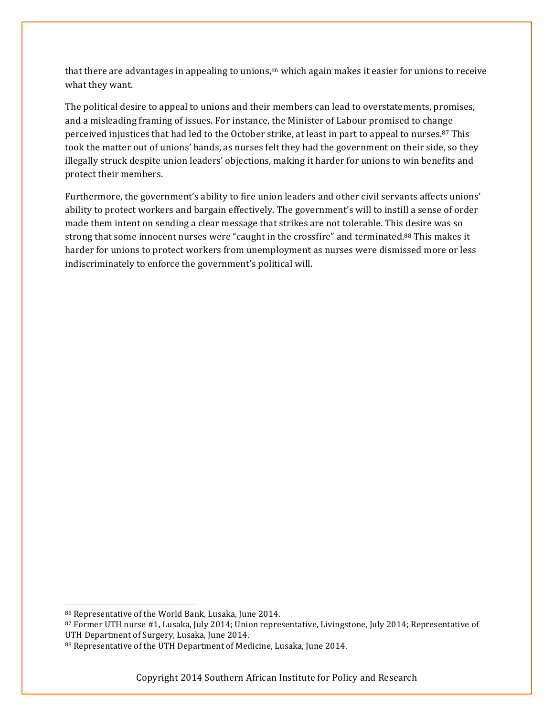that there are advantages in appealing to unions, $86$  which again makes it easier for unions to receive what they want.

The political desire to appeal to unions and their members can lead to overstatements, promises, and a misleading framing of issues. For instance, the Minister of Labour promised to change perceived injustices that had led to the October strike, at least in part to appeal to nurses.87 This took the matter out of unions' hands, as nurses felt they had the government on their side, so they illegally struck despite union leaders' objections, making it harder for unions to win benefits and protect their members.

Furthermore, the government's ability to fire union leaders and other civil servants affects unions' ability to protect workers and bargain effectively. The government's will to instill a sense of order made them intent on sending a clear message that strikes are not tolerable. This desire was so strong that some innocent nurses were "caught in the crossfire" and terminated.88 This makes it harder for unions to protect workers from unemployment as nurses were dismissed more or less indiscriminately to enforce the government's political will.

 <sup>86</sup> Representative of the World Bank, Lusaka, June 2014.

<sup>87</sup> Former UTH nurse #1, Lusaka, July 2014; Union representative, Livingstone, July 2014; Representative of UTH Department of Surgery, Lusaka, June 2014.

<sup>88</sup> Representative of the UTH Department of Medicine, Lusaka, June 2014.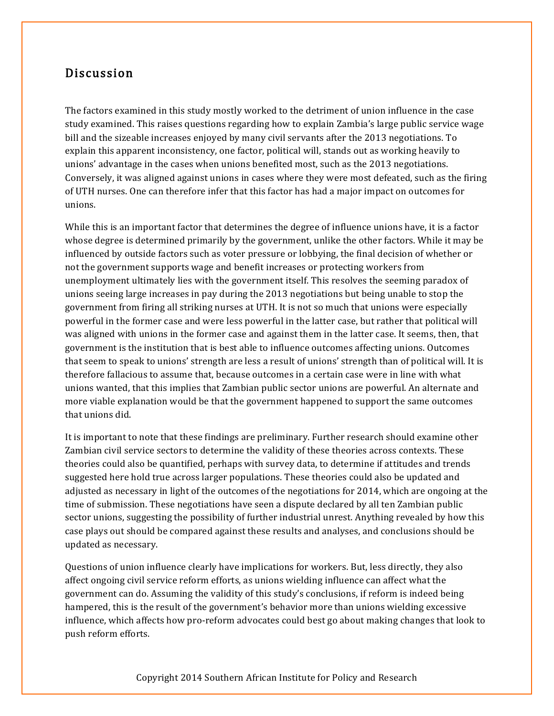#### Discussion

The factors examined in this study mostly worked to the detriment of union influence in the case study examined. This raises questions regarding how to explain Zambia's large public service wage bill and the sizeable increases enjoyed by many civil servants after the 2013 negotiations. To explain this apparent inconsistency, one factor, political will, stands out as working heavily to unions' advantage in the cases when unions benefited most, such as the 2013 negotiations. Conversely, it was aligned against unions in cases where they were most defeated, such as the firing of UTH nurses. One can therefore infer that this factor has had a major impact on outcomes for unions.

While this is an important factor that determines the degree of influence unions have, it is a factor whose degree is determined primarily by the government, unlike the other factors. While it may be influenced by outside factors such as voter pressure or lobbying, the final decision of whether or not the government supports wage and benefit increases or protecting workers from unemployment ultimately lies with the government itself. This resolves the seeming paradox of unions seeing large increases in pay during the 2013 negotiations but being unable to stop the government from firing all striking nurses at UTH. It is not so much that unions were especially powerful in the former case and were less powerful in the latter case, but rather that political will was aligned with unions in the former case and against them in the latter case. It seems, then, that government is the institution that is best able to influence outcomes affecting unions. Outcomes that seem to speak to unions' strength are less a result of unions' strength than of political will. It is therefore fallacious to assume that, because outcomes in a certain case were in line with what unions wanted, that this implies that Zambian public sector unions are powerful. An alternate and more viable explanation would be that the government happened to support the same outcomes that unions did.

It is important to note that these findings are preliminary. Further research should examine other Zambian civil service sectors to determine the validity of these theories across contexts. These theories could also be quantified, perhaps with survey data, to determine if attitudes and trends suggested here hold true across larger populations. These theories could also be updated and adjusted as necessary in light of the outcomes of the negotiations for 2014, which are ongoing at the time of submission. These negotiations have seen a dispute declared by all ten Zambian public sector unions, suggesting the possibility of further industrial unrest. Anything revealed by how this case plays out should be compared against these results and analyses, and conclusions should be updated as necessary.

Questions of union influence clearly have implications for workers. But, less directly, they also affect ongoing civil service reform efforts, as unions wielding influence can affect what the government can do. Assuming the validity of this study's conclusions, if reform is indeed being hampered, this is the result of the government's behavior more than unions wielding excessive influence, which affects how pro-reform advocates could best go about making changes that look to push reform efforts.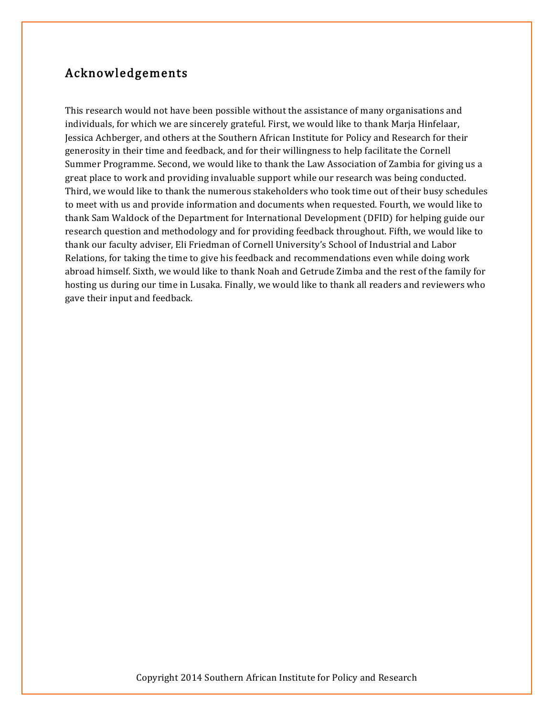# Acknowledgements

This research would not have been possible without the assistance of many organisations and individuals, for which we are sincerely grateful. First, we would like to thank Marja Hinfelaar, Jessica Achberger, and others at the Southern African Institute for Policy and Research for their generosity in their time and feedback, and for their willingness to help facilitate the Cornell Summer Programme. Second, we would like to thank the Law Association of Zambia for giving us a great place to work and providing invaluable support while our research was being conducted. Third, we would like to thank the numerous stakeholders who took time out of their busy schedules to meet with us and provide information and documents when requested. Fourth, we would like to thank Sam Waldock of the Department for International Development (DFID) for helping guide our research question and methodology and for providing feedback throughout. Fifth, we would like to thank our faculty adviser, Eli Friedman of Cornell University's School of Industrial and Labor Relations, for taking the time to give his feedback and recommendations even while doing work abroad himself. Sixth, we would like to thank Noah and Getrude Zimba and the rest of the family for hosting us during our time in Lusaka. Finally, we would like to thank all readers and reviewers who gave their input and feedback.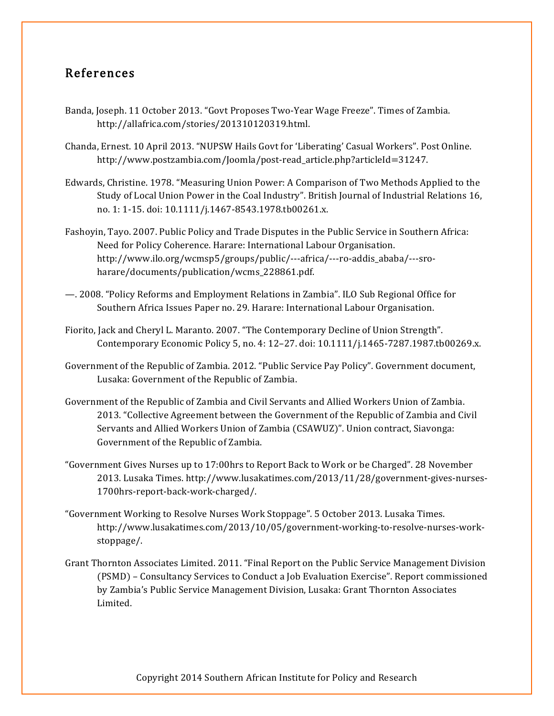# References

- Banda, Joseph. 11 October 2013. "Govt Proposes Two-Year Wage Freeze". Times of Zambia. http://allafrica.com/stories/201310120319.html.
- Chanda, Ernest. 10 April 2013. "NUPSW Hails Govt for 'Liberating' Casual Workers". Post Online. http://www.postzambia.com/Joomla/post-read\_article.php?articleId=31247.
- Edwards, Christine. 1978. "Measuring Union Power: A Comparison of Two Methods Applied to the Study of Local Union Power in the Coal Industry". British Journal of Industrial Relations 16, no. 1: 1-15. doi: 10.1111/j.1467-8543.1978.tb00261.x.
- Fashoyin, Tayo. 2007. Public Policy and Trade Disputes in the Public Service in Southern Africa: Need for Policy Coherence. Harare: International Labour Organisation. http://www.ilo.org/wcmsp5/groups/public/---africa/---ro-addis\_ababa/---sroharare/documents/publication/wcms\_228861.pdf.
- —. 2008. "Policy Reforms and Employment Relations in Zambia". ILO Sub Regional Office for Southern Africa Issues Paper no. 29. Harare: International Labour Organisation.
- Fiorito, Jack and Cheryl L. Maranto. 2007. "The Contemporary Decline of Union Strength". Contemporary Economic Policy 5, no. 4: 12–27. doi: 10.1111/j.1465-7287.1987.tb00269.x.
- Government of the Republic of Zambia. 2012. "Public Service Pay Policy". Government document, Lusaka: Government of the Republic of Zambia.
- Government of the Republic of Zambia and Civil Servants and Allied Workers Union of Zambia. 2013. "Collective Agreement between the Government of the Republic of Zambia and Civil Servants and Allied Workers Union of Zambia (CSAWUZ)". Union contract, Siavonga: Government of the Republic of Zambia.
- "Government Gives Nurses up to 17:00hrs to Report Back to Work or be Charged". 28 November 2013. Lusaka Times. http://www.lusakatimes.com/2013/11/28/government-gives-nurses-1700hrs-report-back-work-charged/.
- "Government Working to Resolve Nurses Work Stoppage". 5 October 2013. Lusaka Times. http://www.lusakatimes.com/2013/10/05/government-working-to-resolve-nurses-workstoppage/.
- Grant Thornton Associates Limited. 2011. "Final Report on the Public Service Management Division (PSMD) – Consultancy Services to Conduct a Job Evaluation Exercise". Report commissioned by Zambia's Public Service Management Division, Lusaka: Grant Thornton Associates Limited.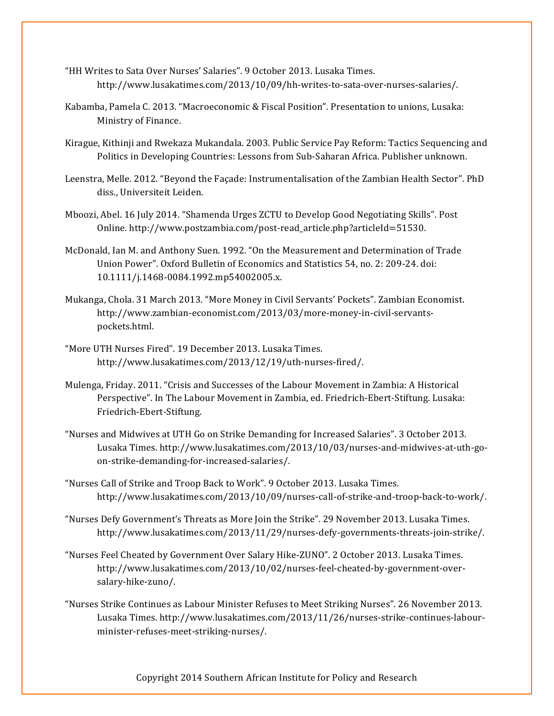- "HH Writes to Sata Over Nurses' Salaries". 9 October 2013. Lusaka Times. http://www.lusakatimes.com/2013/10/09/hh-writes-to-sata-over-nurses-salaries/.
- Kabamba, Pamela C. 2013. "Macroeconomic & Fiscal Position". Presentation to unions, Lusaka: Ministry of Finance.
- Kirague, Kithinji and Rwekaza Mukandala. 2003. Public Service Pay Reform: Tactics Sequencing and Politics in Developing Countries: Lessons from Sub-Saharan Africa. Publisher unknown.
- Leenstra, Melle. 2012. "Beyond the Façade: Instrumentalisation of the Zambian Health Sector". PhD diss., Universiteit Leiden.
- Mboozi, Abel. 16 July 2014. "Shamenda Urges ZCTU to Develop Good Negotiating Skills". Post Online. http://www.postzambia.com/post-read\_article.php?articleId=51530.
- McDonald, Ian M. and Anthony Suen. 1992. "On the Measurement and Determination of Trade Union Power". Oxford Bulletin of Economics and Statistics 54, no. 2: 209-24. doi: 10.1111/j.1468-0084.1992.mp54002005.x.
- Mukanga, Chola. 31 March 2013. "More Money in Civil Servants' Pockets". Zambian Economist. http://www.zambian-economist.com/2013/03/more-money-in-civil-servantspockets.html.
- "More UTH Nurses Fired". 19 December 2013. Lusaka Times. http://www.lusakatimes.com/2013/12/19/uth-nurses-fired/.
- Mulenga, Friday. 2011. "Crisis and Successes of the Labour Movement in Zambia: A Historical Perspective". In The Labour Movement in Zambia, ed. Friedrich-Ebert-Stiftung. Lusaka: Friedrich-Ebert-Stiftung.
- "Nurses and Midwives at UTH Go on Strike Demanding for Increased Salaries". 3 October 2013. Lusaka Times. http://www.lusakatimes.com/2013/10/03/nurses-and-midwives-at-uth-goon-strike-demanding-for-increased-salaries/.
- "Nurses Call of Strike and Troop Back to Work". 9 October 2013. Lusaka Times. http://www.lusakatimes.com/2013/10/09/nurses-call-of-strike-and-troop-back-to-work/.
- "Nurses Defy Government's Threats as More Join the Strike". 29 November 2013. Lusaka Times. http://www.lusakatimes.com/2013/11/29/nurses-defy-governments-threats-join-strike/.
- "Nurses Feel Cheated by Government Over Salary Hike-ZUNO". 2 October 2013. Lusaka Times. http://www.lusakatimes.com/2013/10/02/nurses-feel-cheated-by-government-oversalary-hike-zuno/.
- "Nurses Strike Continues as Labour Minister Refuses to Meet Striking Nurses". 26 November 2013. Lusaka Times. http://www.lusakatimes.com/2013/11/26/nurses-strike-continues-labourminister-refuses-meet-striking-nurses/.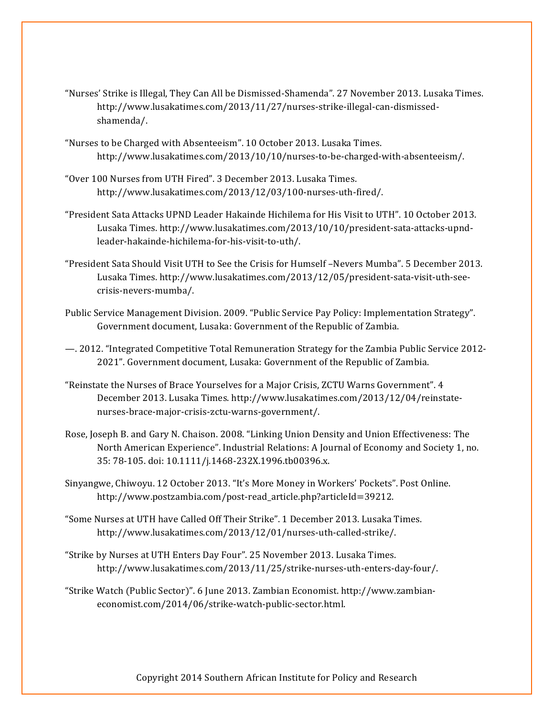- "Nurses' Strike is Illegal, They Can All be Dismissed-Shamenda". 27 November 2013. Lusaka Times. http://www.lusakatimes.com/2013/11/27/nurses-strike-illegal-can-dismissedshamenda/.
- "Nurses to be Charged with Absenteeism". 10 October 2013. Lusaka Times. http://www.lusakatimes.com/2013/10/10/nurses-to-be-charged-with-absenteeism/.
- "Over 100 Nurses from UTH Fired". 3 December 2013. Lusaka Times. http://www.lusakatimes.com/2013/12/03/100-nurses-uth-fired/.
- "President Sata Attacks UPND Leader Hakainde Hichilema for His Visit to UTH". 10 October 2013. Lusaka Times. http://www.lusakatimes.com/2013/10/10/president-sata-attacks-upndleader-hakainde-hichilema-for-his-visit-to-uth/.
- "President Sata Should Visit UTH to See the Crisis for Humself –Nevers Mumba". 5 December 2013. Lusaka Times. http://www.lusakatimes.com/2013/12/05/president-sata-visit-uth-seecrisis-nevers-mumba/.
- Public Service Management Division. 2009. "Public Service Pay Policy: Implementation Strategy". Government document, Lusaka: Government of the Republic of Zambia.
- —. 2012. "Integrated Competitive Total Remuneration Strategy for the Zambia Public Service 2012- 2021". Government document, Lusaka: Government of the Republic of Zambia.
- "Reinstate the Nurses of Brace Yourselves for a Major Crisis, ZCTU Warns Government". 4 December 2013. Lusaka Times. http://www.lusakatimes.com/2013/12/04/reinstatenurses-brace-major-crisis-zctu-warns-government/.
- Rose, Joseph B. and Gary N. Chaison. 2008. "Linking Union Density and Union Effectiveness: The North American Experience". Industrial Relations: A Journal of Economy and Society 1, no. 35: 78-105. doi: 10.1111/j.1468-232X.1996.tb00396.x.
- Sinyangwe, Chiwoyu. 12 October 2013. "It's More Money in Workers' Pockets". Post Online. http://www.postzambia.com/post-read\_article.php?articleId=39212.
- "Some Nurses at UTH have Called Off Their Strike". 1 December 2013. Lusaka Times. http://www.lusakatimes.com/2013/12/01/nurses-uth-called-strike/.
- "Strike by Nurses at UTH Enters Day Four". 25 November 2013. Lusaka Times. http://www.lusakatimes.com/2013/11/25/strike-nurses-uth-enters-day-four/.
- "Strike Watch (Public Sector)". 6 June 2013. Zambian Economist. http://www.zambianeconomist.com/2014/06/strike-watch-public-sector.html.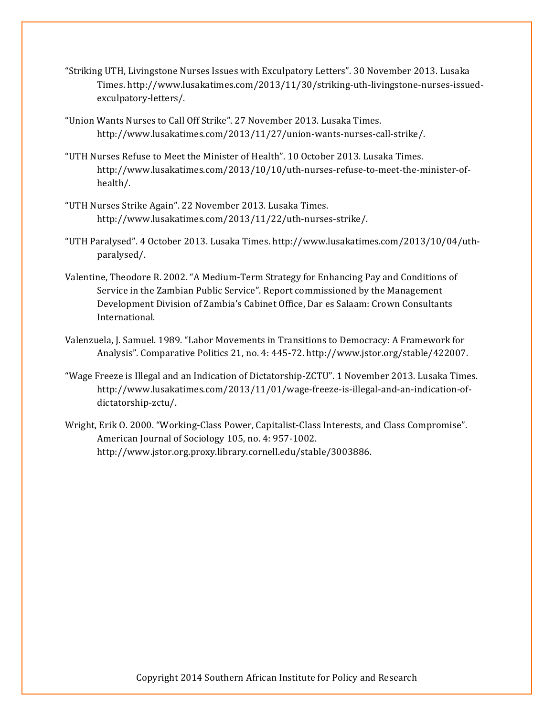- "Striking UTH, Livingstone Nurses Issues with Exculpatory Letters". 30 November 2013. Lusaka Times. http://www.lusakatimes.com/2013/11/30/striking-uth-livingstone-nurses-issuedexculpatory-letters/.
- "Union Wants Nurses to Call Off Strike". 27 November 2013. Lusaka Times. http://www.lusakatimes.com/2013/11/27/union-wants-nurses-call-strike/.
- "UTH Nurses Refuse to Meet the Minister of Health". 10 October 2013. Lusaka Times. http://www.lusakatimes.com/2013/10/10/uth-nurses-refuse-to-meet-the-minister-ofhealth/.
- "UTH Nurses Strike Again". 22 November 2013. Lusaka Times. http://www.lusakatimes.com/2013/11/22/uth-nurses-strike/.
- "UTH Paralysed". 4 October 2013. Lusaka Times. http://www.lusakatimes.com/2013/10/04/uthparalysed/.
- Valentine, Theodore R. 2002. "A Medium-Term Strategy for Enhancing Pay and Conditions of Service in the Zambian Public Service". Report commissioned by the Management Development Division of Zambia's Cabinet Office, Dar es Salaam: Crown Consultants International.
- Valenzuela, J. Samuel. 1989. "Labor Movements in Transitions to Democracy: A Framework for Analysis". Comparative Politics 21, no. 4: 445-72. http://www.jstor.org/stable/422007.
- "Wage Freeze is Illegal and an Indication of Dictatorship-ZCTU". 1 November 2013. Lusaka Times. http://www.lusakatimes.com/2013/11/01/wage-freeze-is-illegal-and-an-indication-ofdictatorship-zctu/.
- Wright, Erik O. 2000. "Working-Class Power, Capitalist-Class Interests, and Class Compromise". American Journal of Sociology 105, no. 4: 957-1002. http://www.jstor.org.proxy.library.cornell.edu/stable/3003886.